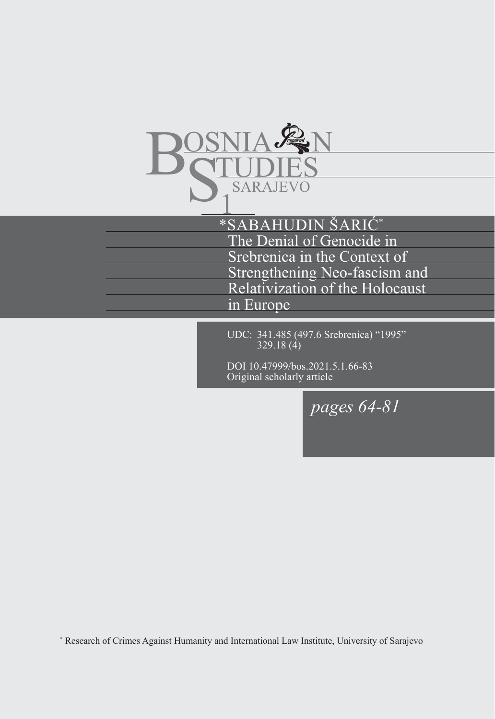

\*SABAHUDIN ŠARIĆ\* The Denial of Genocide in Srebrenica in the Context of Strengthening Neo-fascism and Relativization of the Holocaust in Europe

UDC: 341.485 (497.6 Srebrenica) "1995" 329.18 (4)

DOI 10.47999/bos.2021.5.1.66-83 Original scholarly article

*pages 64-81*

\* Research of Crimes Against Humanity and International Law Institute, University of Sarajevo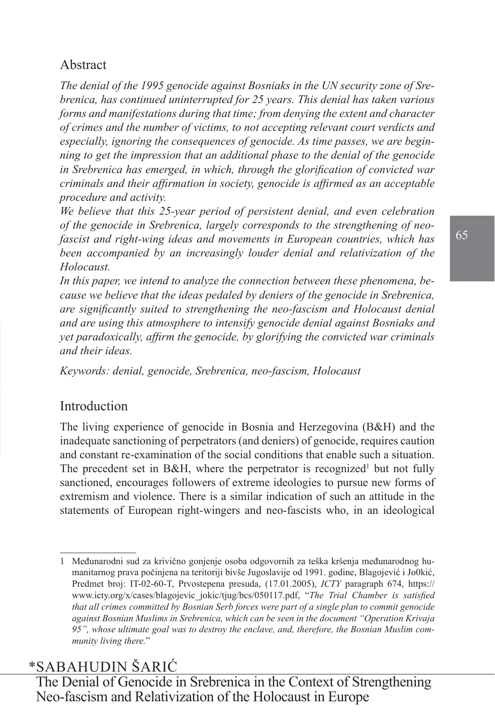### Abstract

*The denial of the 1995 genocide against Bosniaks in the UN security zone of Srebrenica, has continued uninterrupted for 25 years. This denial has taken various forms and manifestations during that time; from denying the extent and character of crimes and the number of victims, to not accepting relevant court verdicts and especially, ignoring the consequences of genocide. As time passes, we are beginning to get the impression that an additional phase to the denial of the genocide in Srebrenica has emerged, in which, through the glorification of convicted war criminals and their affirmation in society, genocide is affirmed as an acceptable procedure and activity.* 

*We believe that this 25-year period of persistent denial, and even celebration of the genocide in Srebrenica, largely corresponds to the strengthening of neofascist and right-wing ideas and movements in European countries, which has been accompanied by an increasingly louder denial and relativization of the Holocaust.* 

*In this paper, we intend to analyze the connection between these phenomena, because we believe that the ideas pedaled by deniers of the genocide in Srebrenica, are significantly suited to strengthening the neo-fascism and Holocaust denial and are using this atmosphere to intensify genocide denial against Bosniaks and yet paradoxically, affirm the genocide, by glorifying the convicted war criminals and their ideas.*

*Keywords: denial, genocide, Srebrenica, neo-fascism, Holocaust* 

#### Introduction

The living experience of genocide in Bosnia and Herzegovina (B&H) and the inadequate sanctioning of perpetrators (and deniers) of genocide, requires caution and constant re-examination of the social conditions that enable such a situation. The precedent set in B&H, where the perpetrator is recognized<sup>1</sup> but not fully sanctioned, encourages followers of extreme ideologies to pursue new forms of extremism and violence. There is a similar indication of such an attitude in the statements of European right-wingers and neo-fascists who, in an ideological

## \*SABAHUDIN ŠARIĆ

<sup>1</sup> Međunarodni sud za krivično gonjenje osoba odgovornih za teška kršenja međunarodnog humanitarnog prava počinjena na teritoriji bivše Jugoslavije od 1991. godine, Blagojević i Jo0kić, Predmet broj: IT-02-60-T, Prvostepena presuda, (17.01.2005), *ICTY* paragraph 674, [https://](https://www.icty.org/x/cases/blagojevic_jokic/tjug/bcs/050117.pdf) [www.icty.org/x/cases/blagojevic\\_jokic/tjug/bcs/050117.pdf](https://www.icty.org/x/cases/blagojevic_jokic/tjug/bcs/050117.pdf), "*The Trial Chamber is satisfied that all crimes committed by Bosnian Serb forces were part of a single plan to commit genocide against Bosnian Muslims in Srebrenica, which can be seen in the document "Operation Krivaja 95", whose ultimate goal was to destroy the enclave, and, therefore, the Bosnian Muslim community living there.*"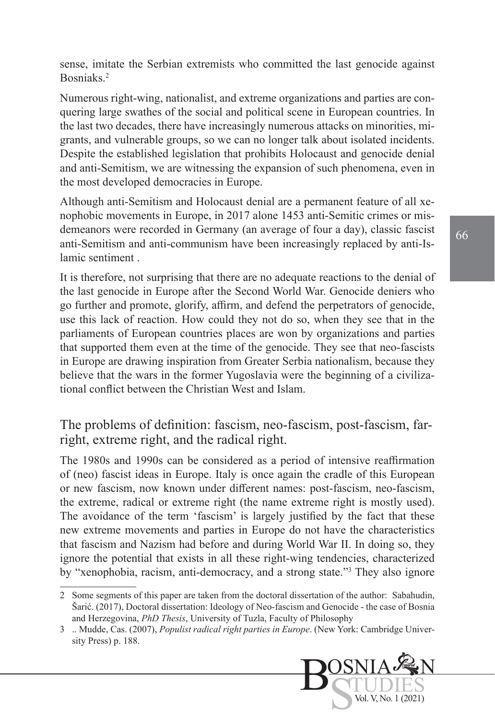sense, imitate the Serbian extremists who committed the last genocide against Bosniaks.<sup>2</sup>

Numerous right-wing, nationalist, and extreme organizations and parties are conquering large swathes of the social and political scene in European countries. In the last two decades, there have increasingly numerous attacks on minorities, migrants, and vulnerable groups, so we can no longer talk about isolated incidents. Despite the established legislation that prohibits Holocaust and genocide denial and anti-Semitism, we are witnessing the expansion of such phenomena, even in the most developed democracies in Europe.

Although anti-Semitism and Holocaust denial are a permanent feature of all xenophobic movements in Europe, in 2017 alone 1453 anti-Semitic crimes or misdemeanors were recorded in Germany (an average of four a day), classic fascist anti-Semitism and anti-communism have been increasingly replaced by anti-Islamic sentiment .

It is therefore, not surprising that there are no adequate reactions to the denial of the last genocide in Europe after the Second World War. Genocide deniers who go further and promote, glorify, affirm, and defend the perpetrators of genocide, use this lack of reaction. How could they not do so, when they see that in the parliaments of European countries places are won by organizations and parties that supported them even at the time of the genocide. They see that neo-fascists in Europe are drawing inspiration from Greater Serbia nationalism, because they believe that the wars in the former Yugoslavia were the beginning of a civilizational conflict between the Christian West and Islam.

The problems of definition: fascism, neo-fascism, post-fascism, farright, extreme right, and the radical right.

The 1980s and 1990s can be considered as a period of intensive reaffirmation of (neo) fascist ideas in Europe. Italy is once again the cradle of this European or new fascism, now known under different names: post-fascism, neo-fascism, the extreme, radical or extreme right (the name extreme right is mostly used). The avoidance of the term 'fascism' is largely justified by the fact that these new extreme movements and parties in Europe do not have the characteristics that fascism and Nazism had before and during World War II. In doing so, they ignore the potential that exists in all these right-wing tendencies, characterized by "xenophobia, racism, anti-democracy, and a strong state."3 They also ignore

<sup>3</sup> .. Mudde, Cas. (2007), *Populist radical right parties in Europe*. (New York: Cambridge University Press) p. 188.



<sup>2</sup> Some segments of this paper are taken from the doctoral dissertation of the author: Sabahudin, Šarić. (2017), Doctoral dissertation: Ideology of Neo-fascism and Genocide - the case of Bosnia and Herzegovina, *PhD Thesis*, University of Tuzla, Faculty of Philosophy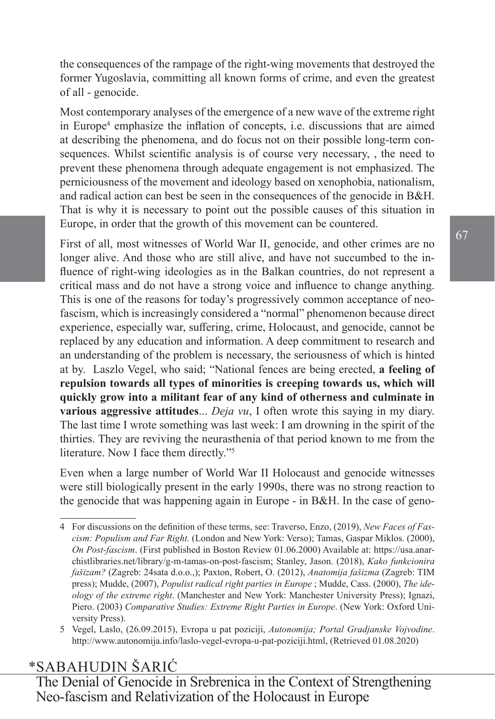the consequences of the rampage of the right-wing movements that destroyed the former Yugoslavia, committing all known forms of crime, and even the greatest of all - genocide.

Most contemporary analyses of the emergence of a new wave of the extreme right in Europe<sup>4</sup> emphasize the inflation of concepts, i.e. discussions that are aimed at describing the phenomena, and do focus not on their possible long-term consequences. Whilst scientific analysis is of course very necessary, , the need to prevent these phenomena through adequate engagement is not emphasized. The perniciousness of the movement and ideology based on xenophobia, nationalism, and radical action can best be seen in the consequences of the genocide in B&H. That is why it is necessary to point out the possible causes of this situation in Europe, in order that the growth of this movement can be countered.

First of all, most witnesses of World War II, genocide, and other crimes are no longer alive. And those who are still alive, and have not succumbed to the influence of right-wing ideologies as in the Balkan countries, do not represent a critical mass and do not have a strong voice and influence to change anything. This is one of the reasons for today's progressively common acceptance of neofascism, which is increasingly considered a "normal" phenomenon because direct experience, especially war, suffering, crime, Holocaust, and genocide, cannot be replaced by any education and information. A deep commitment to research and an understanding of the problem is necessary, the seriousness of which is hinted at by. Laszlo Vegel, who said; "National fences are being erected, **a feeling of repulsion towards all types of minorities is creeping towards us, which will quickly grow into a militant fear of any kind of otherness and culminate in various aggressive attitudes**... *Deja vu*, I often wrote this saying in my diary. The last time I wrote something was last week: I am drowning in the spirit of the thirties. They are reviving the neurasthenia of that period known to me from the literature. Now I face them directly."<sup>5</sup>

Even when a large number of World War II Holocaust and genocide witnesses were still biologically present in the early 1990s, there was no strong reaction to the genocide that was happening again in Europe - in B&H. In the case of geno-

## \*SABAHUDIN ŠARIĆ

<sup>4</sup> For discussions on the definition of these terms, see: Traverso, Enzo, (2019), *New Faces of Fascism: Populism and Far Right.* (London and New York: Verso); Tamas, Gaspar Miklos. (2000), *On Post-fascism*. (First published in Boston Review 01.06.2000) Available at: [https://usa.anar](https://usa.anarchistlibraries.net/library/g-m-tamas-on-post-fascism)[chistlibraries.net/library/g-m-tamas-on-post-fascism;](https://usa.anarchistlibraries.net/library/g-m-tamas-on-post-fascism) Stanley, Jason. (2018), *Kako funkcionira fašizam?* (Zagreb: 24sata d.o.o.,); Paxton, Robert, O. (2012), *Anatomija fašizma* (Zagreb: TIM press); Mudde, (2007), *Populist radical right parties in Europe* ; Mudde, Cass. (2000), *The ideology of the extreme right*. (Manchester and New York: Manchester University Press); Ignazi, Piero. (2003) *Comparative Studies: Extreme Right Parties in Europe*. (New York: Oxford University Press).

<sup>5</sup> Vegel, Laslo, (26.09.2015), Evropa u pat poziciji, *Autonomija; Portal Gradjanske Vojvodine*. [http://www.autonomija.info/laslo-vegel-evropa-u-pat-poziciji.html,](http://www.autonomija.info/laslo-vegel-evropa-u-pat-poziciji.html) (Retrieved 01.08.2020)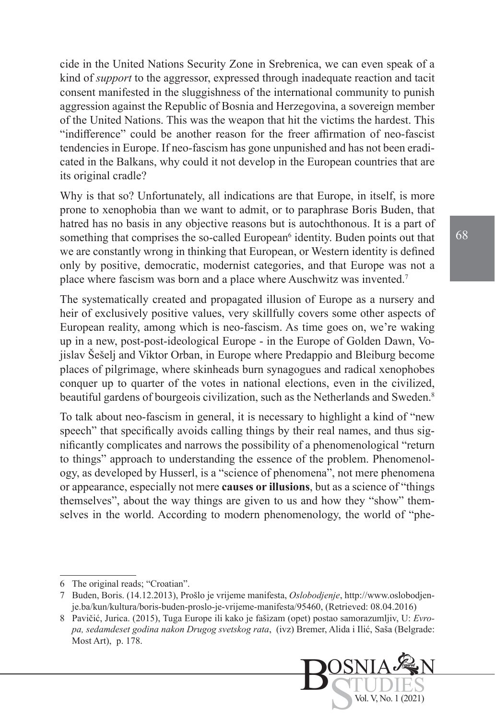cide in the United Nations Security Zone in Srebrenica, we can even speak of a kind of *support* to the aggressor, expressed through inadequate reaction and tacit consent manifested in the sluggishness of the international community to punish aggression against the Republic of Bosnia and Herzegovina, a sovereign member of the United Nations. This was the weapon that hit the victims the hardest. This "indifference" could be another reason for the freer affirmation of neo-fascist tendencies in Europe. If neo-fascism has gone unpunished and has not been eradicated in the Balkans, why could it not develop in the European countries that are its original cradle?

Why is that so? Unfortunately, all indications are that Europe, in itself, is more prone to xenophobia than we want to admit, or to paraphrase Boris Buden, that hatred has no basis in any objective reasons but is autochthonous. It is a part of something that comprises the so-called European<sup>6</sup> identity. Buden points out that we are constantly wrong in thinking that European, or Western identity is defined only by positive, democratic, modernist categories, and that Europe was not a place where fascism was born and a place where Auschwitz was invented.7

The systematically created and propagated illusion of Europe as a nursery and heir of exclusively positive values, very skillfully covers some other aspects of European reality, among which is neo-fascism. As time goes on, we're waking up in a new, post-post-ideological Europe - in the Europe of Golden Dawn, Vojislav Šešelj and Viktor Orban, in Europe where Predappio and Bleiburg become places of pilgrimage, where skinheads burn synagogues and radical xenophobes conquer up to quarter of the votes in national elections, even in the civilized, beautiful gardens of bourgeois civilization, such as the Netherlands and Sweden.<sup>8</sup>

To talk about neo-fascism in general, it is necessary to highlight a kind of "new speech" that specifically avoids calling things by their real names, and thus significantly complicates and narrows the possibility of a phenomenological "return to things" approach to understanding the essence of the problem. Phenomenology, as developed by Husserl, is a "science of phenomena", not mere phenomena or appearance, especially not mere **causes or illusions**, but as a science of "things themselves", about the way things are given to us and how they "show" themselves in the world. According to modern phenomenology, the world of "phe-

<sup>8</sup> Pavičić, Jurica. (2015), Tuga Europe ili kako je fašizam (opet) postao samorazumljiv, U: *Evropa, sedamdeset godina nakon Drugog svetskog rata*, (ivz) Bremer, Alida i Ilić, Saša (Belgrade: Most Art), p. 178.



<sup>6</sup> The original reads; "Croatian".

<sup>7</sup> Buden, Boris. (14.12.2013), Prošlo je vrijeme manifesta, *Oslobodjenje*, [http://www.oslobodjen](http://www.oslobodjenje.ba/kun/kultura/boris-buden-proslo-je-vrijeme-manifesta/95460)[je.ba/kun/kultura/boris-buden-proslo-je-vrijeme-manifesta/95460](http://www.oslobodjenje.ba/kun/kultura/boris-buden-proslo-je-vrijeme-manifesta/95460), (Retrieved: 08.04.2016)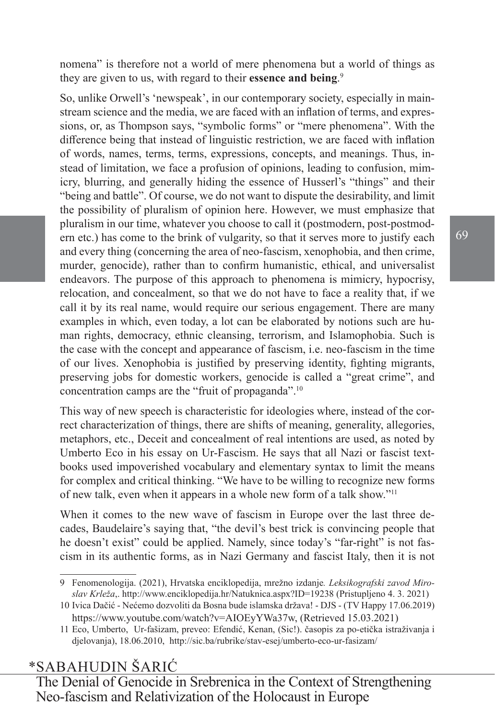nomena" is therefore not a world of mere phenomena but a world of things as they are given to us, with regard to their **essence and being**. 9

So, unlike Orwell's 'newspeak', in our contemporary society, especially in mainstream science and the media, we are faced with an inflation of terms, and expressions, or, as Thompson says, "symbolic forms" or "mere phenomena". With the difference being that instead of linguistic restriction, we are faced with inflation of words, names, terms, terms, expressions, concepts, and meanings. Thus, instead of limitation, we face a profusion of opinions, leading to confusion, mimicry, blurring, and generally hiding the essence of Husserl's "things" and their "being and battle". Of course, we do not want to dispute the desirability, and limit the possibility of pluralism of opinion here. However, we must emphasize that pluralism in our time, whatever you choose to call it (postmodern, post-postmodern etc.) has come to the brink of vulgarity, so that it serves more to justify each and every thing (concerning the area of neo-fascism, xenophobia, and then crime, murder, genocide), rather than to confirm humanistic, ethical, and universalist endeavors. The purpose of this approach to phenomena is mimicry, hypocrisy, relocation, and concealment, so that we do not have to face a reality that, if we call it by its real name, would require our serious engagement. There are many examples in which, even today, a lot can be elaborated by notions such are human rights, democracy, ethnic cleansing, terrorism, and Islamophobia. Such is the case with the concept and appearance of fascism, i.e. neo-fascism in the time of our lives. Xenophobia is justified by preserving identity, fighting migrants, preserving jobs for domestic workers, genocide is called a "great crime", and concentration camps are the "fruit of propaganda".10

This way of new speech is characteristic for ideologies where, instead of the correct characterization of things, there are shifts of meaning, generality, allegories, metaphors, etc., Deceit and concealment of real intentions are used, as noted by Umberto Eco in his essay on Ur-Fascism. He says that all Nazi or fascist textbooks used impoverished vocabulary and elementary syntax to limit the means for complex and critical thinking. "We have to be willing to recognize new forms of new talk, even when it appears in a whole new form of a talk show."<sup>11</sup>

When it comes to the new wave of fascism in Europe over the last three decades, Baudelaire's saying that, "the devil's best trick is convincing people that he doesn't exist" could be applied. Namely, since today's "far-right" is not fascism in its authentic forms, as in Nazi Germany and fascist Italy, then it is not

## \*SABAHUDIN ŠARIĆ

<sup>9</sup> Fenomenologija. (2021), Hrvatska enciklopedija, mrežno izdanje*. Leksikografski zavod Miroslav Krleža*,. <http://www.enciklopedija.hr/Natuknica.aspx?ID=19238> (Pristupljeno 4. 3. 2021)

<sup>10</sup> Ivica Dačić - Nećemo dozvoliti da Bosna bude islamska država! - DJS - (TV Happy 17.06.2019) <https://www.youtube.com/watch?v=AIOEyYWa37w>, (Retrieved 15.03.2021)

<sup>11</sup> Eco, Umberto, [Ur-fašizam,](https://sic.ba/stav/umberto-eco-ur-fasizam/) preveo: Efendić, Kenan, (Sic!). časopis za po-etička istraživanja i djelovanja), 18.06.2010, <http://sic.ba/rubrike/stav-esej/umberto-eco-ur-fasizam/>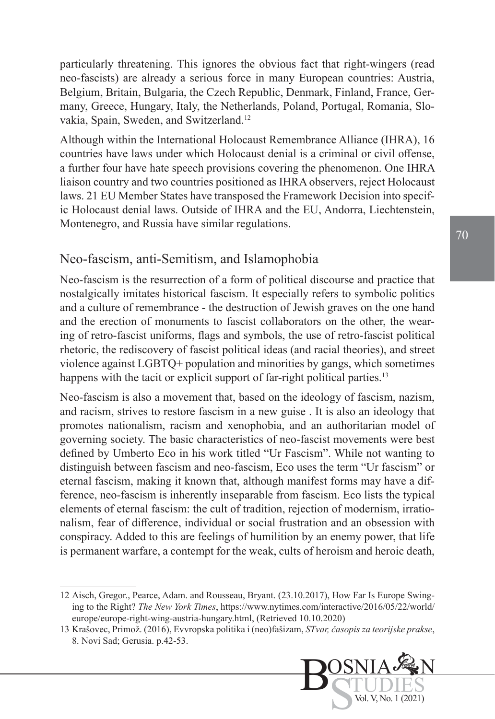particularly threatening. This ignores the obvious fact that right-wingers (read neo-fascists) are already a serious force in many European countries: Austria, Belgium, Britain, Bulgaria, the Czech Republic, Denmark, Finland, France, Germany, Greece, Hungary, Italy, the Netherlands, Poland, Portugal, Romania, Slovakia, Spain, Sweden, and Switzerland.<sup>12</sup>

Although within the International Holocaust Remembrance Alliance (IHRA), 16 countries have laws under which Holocaust denial is a criminal or civil offense, a further four have hate speech provisions covering the phenomenon. One IHRA liaison country and two countries positioned as IHRA observers, reject Holocaust laws. 21 EU Member States have transposed the Framework Decision into specific Holocaust denial laws. Outside of IHRA and the EU, Andorra, Liechtenstein, Montenegro, and Russia have similar regulations.

#### Neo-fascism, anti-Semitism, and Islamophobia

Neo-fascism is the resurrection of a form of political discourse and practice that nostalgically imitates historical fascism. It especially refers to symbolic politics and a culture of remembrance - the destruction of Jewish graves on the one hand and the erection of monuments to fascist collaborators on the other, the wearing of retro-fascist uniforms, flags and symbols, the use of retro-fascist political rhetoric, the rediscovery of fascist political ideas (and racial theories), and street violence against LGBTQ+ population and minorities by gangs, which sometimes happens with the tacit or explicit support of far-right political parties.<sup>13</sup>

Neo-fascism is also a movement that, based on the ideology of fascism, nazism, and racism, strives to restore fascism in a new guise . It is also an ideology that promotes nationalism, racism and xenophobia, and an authoritarian model of governing society. The basic characteristics of neo-fascist movements were best defined by Umberto Eco in his work titled "Ur Fascism". While not wanting to distinguish between fascism and neo-fascism, Eco uses the term "Ur fascism" or eternal fascism, making it known that, although manifest forms may have a difference, neo-fascism is inherently inseparable from fascism. Eco lists the typical elements of eternal fascism: the cult of tradition, rejection of modernism, irrationalism, fear of difference, individual or social frustration and an obsession with conspiracy. Added to this are feelings of humilition by an enemy power, that life is permanent warfare, a contempt for the weak, cults of heroism and heroic death,

<sup>13</sup> Krašovec, Primož. (2016), Evvropska politika i (neo)fašizam, *STvar, časopis za teorijske prakse*, 8. Novi Sad; Gerusia. p.42-53.



<sup>12</sup> [Aisch](https://www.nytimes.com/by/gregor-aisch), Gregor., [Pearce](https://www.nytimes.com/by/adam-pearce), Adam. and Rousseau, Bryant. (23.10.2017), How Far Is Europe Swinging to the Right? *The New York Times*, https://www.nytimes.com/interactive/2016/05/22/world/ europe/europe-right-wing-austria-hungary.html, (Retrieved 10.10.2020)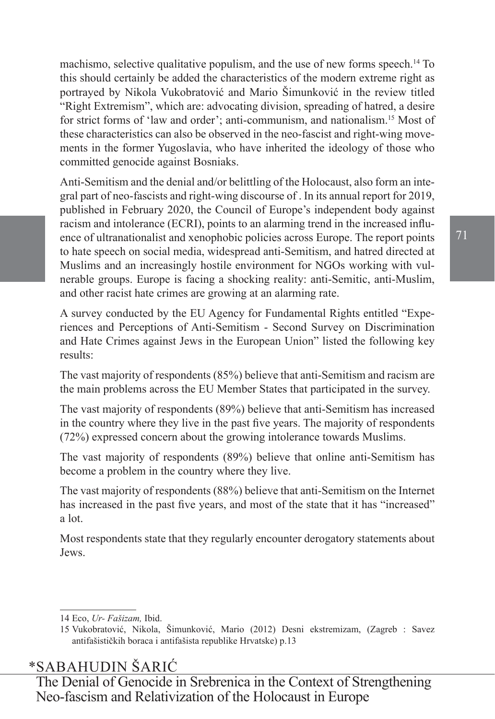machismo, selective qualitative populism, and the use of new forms speech.<sup>14</sup> To this should certainly be added the characteristics of the modern extreme right as portrayed by Nikola Vukobratović and Mario Šimunković in the review titled "Right Extremism", which are: advocating division, spreading of hatred, a desire for strict forms of 'law and order'; anti-communism, and nationalism.15 Most of these characteristics can also be observed in the neo-fascist and right-wing movements in the former Yugoslavia, who have inherited the ideology of those who committed genocide against Bosniaks.

Anti-Semitism and the denial and/or belittling of the Holocaust, also form an integral part of neo-fascists and right-wing discourse of . In its annual report for 2019, published in February 2020, the Council of Europe's independent body against racism and intolerance (ECRI), points to an alarming trend in the increased influence of ultranationalist and xenophobic policies across Europe. The report points to hate speech on social media, widespread anti-Semitism, and hatred directed at Muslims and an increasingly hostile environment for NGOs working with vulnerable groups. Europe is facing a shocking reality: anti-Semitic, anti-Muslim, and other racist hate crimes are growing at an alarming rate.

A survey conducted by the EU Agency for Fundamental Rights entitled "Experiences and Perceptions of Anti-Semitism - Second Survey on Discrimination and Hate Crimes against Jews in the European Union" listed the following key results:

The vast majority of respondents (85%) believe that anti-Semitism and racism are the main problems across the EU Member States that participated in the survey.

The vast majority of respondents (89%) believe that anti-Semitism has increased in the country where they live in the past five years. The majority of respondents (72%) expressed concern about the growing intolerance towards Muslims.

The vast majority of respondents (89%) believe that online anti-Semitism has become a problem in the country where they live.

The vast majority of respondents (88%) believe that anti-Semitism on the Internet has increased in the past five years, and most of the state that it has "increased" a lot.

Most respondents state that they regularly encounter derogatory statements about Jews.

## \*SABAHUDIN ŠARIĆ

<sup>14</sup> Eco, *Ur- Fašizam,* Ibid.

<sup>15</sup> Vukobratović, Nikola, Šimunković, Mario (2012) Desni ekstremizam, (Zagreb : Savez antifašističkih boraca i antifašista republike Hrvatske) p.13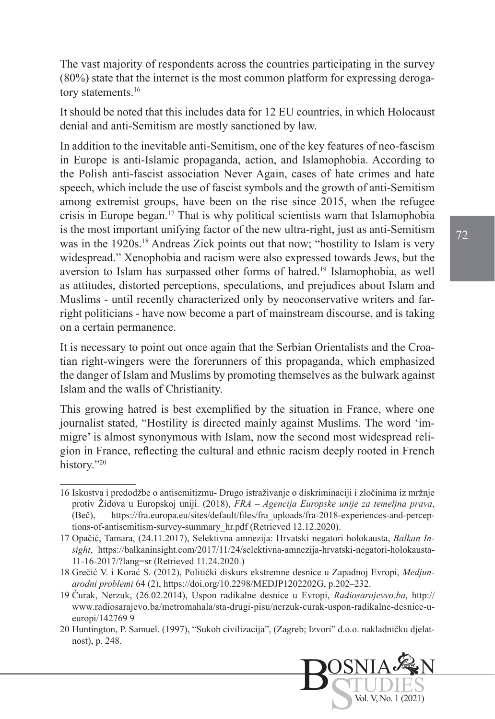The vast majority of respondents across the countries participating in the survey (80%) state that the internet is the most common platform for expressing derogatory statements.<sup>16</sup>

It should be noted that this includes data for 12 EU countries, in which Holocaust denial and anti-Semitism are mostly sanctioned by law.

In addition to the inevitable anti-Semitism, one of the key features of neo-fascism in Europe is anti-Islamic propaganda, action, and Islamophobia. According to the Polish anti-fascist association Never Again, cases of hate crimes and hate speech, which include the use of fascist symbols and the growth of anti-Semitism among extremist groups, have been on the rise since 2015, when the refugee crisis in Europe began.17 That is why political scientists warn that Islamophobia is the most important unifying factor of the new ultra-right, just as anti-Semitism was in the 1920s.<sup>18</sup> Andreas Zick points out that now; "hostility to Islam is very widespread." Xenophobia and racism were also expressed towards Jews, but the aversion to Islam has surpassed other forms of hatred.19 Islamophobia, as well as attitudes, distorted perceptions, speculations, and prejudices about Islam and Muslims - until recently characterized only by neoconservative writers and farright politicians - have now become a part of mainstream discourse, and is taking on a certain permanence.

It is necessary to point out once again that the Serbian Orientalists and the Croatian right-wingers were the forerunners of this propaganda, which emphasized the danger of Islam and Muslims by promoting themselves as the bulwark against Islam and the walls of Christianity.

This growing hatred is best exemplified by the situation in France, where one journalist stated, "Hostility is directed mainly against Muslims. The word 'immigre' is almost synonymous with Islam, now the second most widespread religion in France, reflecting the cultural and ethnic racism deeply rooted in French history."20

<sup>16</sup> Iskustva i predodžbe o antisemitizmu- Drugo istraživanje o diskriminaciji i zločinima iz mržnje protiv Židova u Europskoj uniji. (2018), *FRA – Agencija Europske unije za temeljna prava*, (Beč), [https://fra.europa.eu/sites/default/files/fra\\_uploads/fra-2018-experiences-and-percep](https://fra.europa.eu/sites/default/files/fra_uploads/fra-2018-experiences-and-perceptions-of-antisemitism-survey-summary_hr.pdf)[tions-of-antisemitism-survey-summary\\_hr.pdf](https://fra.europa.eu/sites/default/files/fra_uploads/fra-2018-experiences-and-perceptions-of-antisemitism-survey-summary_hr.pdf) (Retrieved 12.12.2020).

<sup>17</sup> Opačić, Tamara, (24.11.2017), Selektivna amnezija: Hrvatski negatori holokausta, *Balkan Insight*, [https://balkaninsight.com/2017/11/24/selektivna-amnezija-hrvatski-negatori-holokausta-](https://balkaninsight.com/2017/11/24/selektivna-amnezija-hrvatski-negatori-holokausta-11-16-2017/?lang=sr)[11-16-2017/?lang=sr](https://balkaninsight.com/2017/11/24/selektivna-amnezija-hrvatski-negatori-holokausta-11-16-2017/?lang=sr) (Retrieved 11.24.2020.)

<sup>18</sup> Grečić V. i Korać S. (2012), Politički diskurs ekstremne desnice u Zapadnoj Evropi, *Medjunarodni problemi* 64 (2), https://doi.org/10.2298/MEDJP1202202G, p.202–232.

<sup>19</sup> Ćurak, Nerzuk, (26.02.2014), Uspon radikalne desnice u Evropi, *Radiosarajevvo.ba*, [http://](http://www.radiosarajevo.ba/metromahala/sta-drugi-pisu/nerzuk-curak-uspon-radikalne-desnice-u-europi/142769) [www.radiosarajevo.ba/metromahala/sta-drugi-pisu/nerzuk-curak-uspon-radikalne-desnice-u](http://www.radiosarajevo.ba/metromahala/sta-drugi-pisu/nerzuk-curak-uspon-radikalne-desnice-u-europi/142769)[europi/142769](http://www.radiosarajevo.ba/metromahala/sta-drugi-pisu/nerzuk-curak-uspon-radikalne-desnice-u-europi/142769) 9

<sup>20</sup> Huntington, P. Samuel. (1997), "Sukob civilizacija", (Zagreb; Izvori" d.o.o. nakladničku djelatnost), p. 248.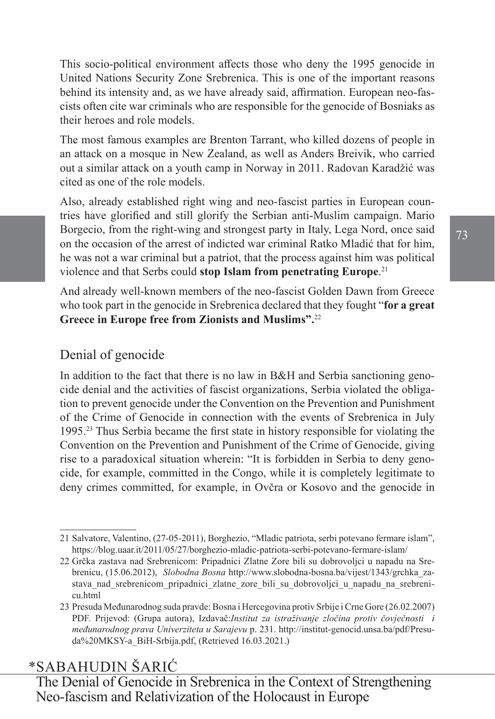This socio-political environment affects those who deny the 1995 genocide in United Nations Security Zone Srebrenica. This is one of the important reasons behind its intensity and, as we have already said, affirmation. European neo-fascists often cite war criminals who are responsible for the genocide of Bosniaks as their heroes and role models.

The most famous examples are Brenton Tarrant, who killed dozens of people in an attack on a mosque in New Zealand, as well as Anders Breivik, who carried out a similar attack on a youth camp in Norway in 2011. Radovan Karadžić was cited as one of the role models.

Also, already established right wing and neo-fascist parties in European countries have glorified and still glorify the Serbian anti-Muslim campaign. Mario Borgecio, from the right-wing and strongest party in Italy, Lega Nord, once said on the occasion of the arrest of indicted war criminal Ratko Mladić that for him, he was not a war criminal but a patriot, that the process against him was political violence and that Serbs could **stop Islam from penetrating Europe**. 21

And already well-known members of the neo-fascist Golden Dawn from Greece who took part in the genocide in Srebrenica declared that they fought "**for a great Greece in Europe free from Zionists and Muslims".**<sup>22</sup>

### Denial of genocide

In addition to the fact that there is no law in B&H and Serbia sanctioning genocide denial and the activities of fascist organizations, Serbia violated the obligation to prevent genocide under the Convention on the Prevention and Punishment of the Crime of Genocide in connection with the events of Srebrenica in July 1995.23 Thus Serbia became the first state in history responsible for violating the Convention on the Prevention and Punishment of the Crime of Genocide, giving rise to a paradoxical situation wherein: "It is forbidden in Serbia to deny genocide, for example, committed in the Congo, while it is completely legitimate to deny crimes committed, for example, in Ovčra or Kosovo and the genocide in

## \*SABAHUDIN ŠARIĆ

<sup>21</sup> Salvatore, Valentino, (27-05-2011), [Borghezio, "Mladic patriota, serbi potevano fermare islam",](https://blog.uaar.it/2011/05/27/borghezio-mladic-patriota-serbi-potevano-fermare-islam/) <https://blog.uaar.it/2011/05/27/borghezio-mladic-patriota-serbi-potevano-fermare-islam/>

<sup>22</sup> Grčka zastava nad Srebrenicom: Pripadnici Zlatne Zore bili su dobrovoljci u napadu na Srebrenicu, (15.06.2012), *Slobodna Bosna* [http://www.slobodna-bosna.ba/vijest/1343/grchka\\_za](http://www.slobodna-bosna.ba/vijest/1343/grchka_zastava_nad_srebrenicom_pripadnici_zlatne_zore_bili_su_dobrovoljci_u_napadu_na_srebrenicu.html)stava nad srebrenicom pripadnici zlatne zore bili su dobrovoljci u napadu na srebreni[cu.html](http://www.slobodna-bosna.ba/vijest/1343/grchka_zastava_nad_srebrenicom_pripadnici_zlatne_zore_bili_su_dobrovoljci_u_napadu_na_srebrenicu.html)

<sup>23</sup> Presuda Međunarodnog suda pravde: Bosna i Hercegovina protiv Srbije i Crne Gore (26.02.2007) PDF. Prijevod: (Grupa autora), Izdavač:*Institut za istraživanje zločina protiv čovječnosti i međunarodnog prava Univerziteta u Sarajevu* p. 231. [http://institut-genocid.unsa.ba/pdf/Presu](http://institut-genocid.unsa.ba/pdf/Presuda MKSY-a_BiH-Srbija.pdf)[da%20MKSY-a\\_BiH-Srbija.pdf](http://institut-genocid.unsa.ba/pdf/Presuda MKSY-a_BiH-Srbija.pdf), (Retrieved 16.03.2021.)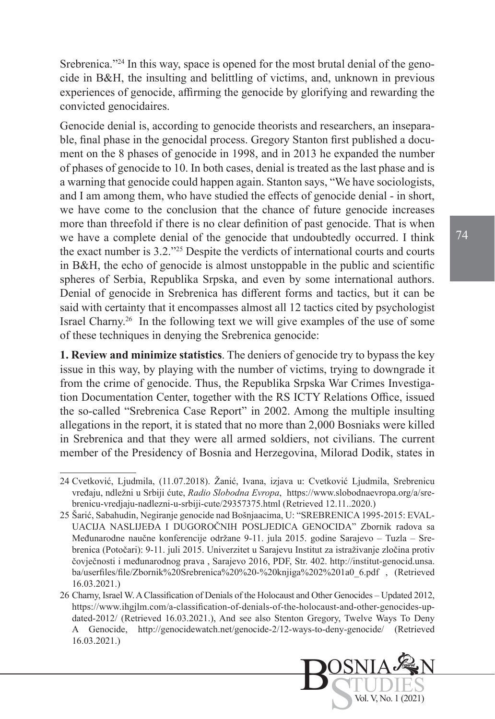Srebrenica."<sup>24</sup> In this way, space is opened for the most brutal denial of the genocide in B&H, the insulting and belittling of victims, and, unknown in previous experiences of genocide, affirming the genocide by glorifying and rewarding the convicted genocidaires.

Genocide denial is, according to genocide theorists and researchers, an inseparable, final phase in the genocidal process. Gregory Stanton first published a document on the 8 phases of genocide in 1998, and in 2013 he expanded the number of phases of genocide to 10. In both cases, denial is treated as the last phase and is a warning that genocide could happen again. Stanton says, "We have sociologists, and I am among them, who have studied the effects of genocide denial - in short, we have come to the conclusion that the chance of future genocide increases more than threefold if there is no clear definition of past genocide. That is when we have a complete denial of the genocide that undoubtedly occurred. I think the exact number is 3.2."25 Despite the verdicts of international courts and courts in B&H, the echo of genocide is almost unstoppable in the public and scientific spheres of Serbia, Republika Srpska, and even by some international authors. Denial of genocide in Srebrenica has different forms and tactics, but it can be said with certainty that it encompasses almost all 12 tactics cited by psychologist Israel Charny.26 In the following text we will give examples of the use of some of these techniques in denying the Srebrenica genocide:

**1. Review and minimize statistics**. The deniers of genocide try to bypass the key issue in this way, by playing with the number of victims, trying to downgrade it from the crime of genocide. Thus, the Republika Srpska War Crimes Investigation Documentation Center, together with the RS ICTY Relations Office, issued the so-called "Srebrenica Case Report" in 2002. Among the multiple insulting allegations in the report, it is stated that no more than 2,000 Bosniaks were killed in Srebrenica and that they were all armed soldiers, not civilians. The current member of the Presidency of Bosnia and Herzegovina, Milorad Dodik, states in

Bos<sub>S</sub>

OSNIA

TUDIES Vol. V, No. 1 (2021)

N

<sup>24</sup> Cvetković, Ljudmila, (11.07.2018). Žanić, Ivana, izjava u: Cvetković Ljudmila, Srebrenicu vređaju, ndležni u Srbiji ćute, *Radio Slobodna Evropa*, [https://www.slobodnaevropa.org/a/sre](https://www.slobodnaevropa.org/a/srebrenicu-vredjaju-nadlezni-u-srbiji-cute/29357375.html)[brenicu-vredjaju-nadlezni-u-srbiji-cute/29357375.html](https://www.slobodnaevropa.org/a/srebrenicu-vredjaju-nadlezni-u-srbiji-cute/29357375.html) (Retrieved 12.11..2020.)

<sup>25</sup> Šarić, Sabahudin, Negiranje genocide nad Bošnjaacima, U: "SREBRENICA 1995-2015: EVAL-UACIJA NASLIJEĐA I DUGOROČNIH POSLJEDICA GENOCIDA" Zbornik radova sa Međunarodne naučne konferencije održane 9-11. jula 2015. godine Sarajevo – Tuzla – Srebrenica (Potočari): 9-11. juli 2015. Univerzitet u Sarajevu Institut za istraživanje zločina protiv čovječnosti i međunarodnog prava , Sarajevo 2016, PDF, Str. 402. http://institut-genocid.unsa. ba/userfiles/file/Zbornik%20Srebrenica%20%20-%20knjiga%202%201a0\_6.pdf , (Retrieved 16.03.2021.)

<sup>26</sup> Charny, Israel W. A Classification of Denials of the Holocaust and Other Genocides – Updated 2012, [https://www.ihgjlm.com/a-classification-of-denials-of-the-holocaust-and-other-genocides-up](https://www.ihgjlm.com/a-classification-of-denials-of-the-holocaust-and-other-genocides-updated-2012/)[dated-2012/](https://www.ihgjlm.com/a-classification-of-denials-of-the-holocaust-and-other-genocides-updated-2012/) (Retrieved 16.03.2021.), And see also Stenton Gregory, Twelve Ways To Deny A Genocide, <http://genocidewatch.net/genocide-2/12-ways-to-deny-genocide/> (Retrieved 16.03.2021.)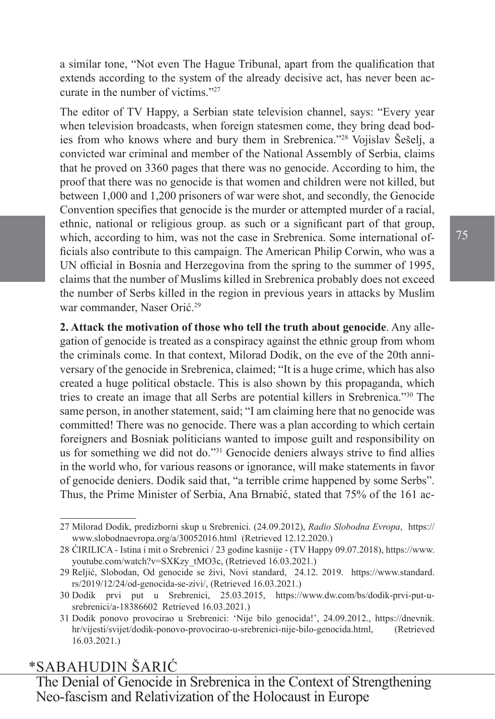a similar tone, "Not even The Hague Tribunal, apart from the qualification that extends according to the system of the already decisive act, has never been accurate in the number of victims."27

The editor of TV Happy, a Serbian state television channel, says: "Every year when television broadcasts, when foreign statesmen come, they bring dead bodies from who knows where and bury them in Srebrenica."<sup>28</sup> Vojislav Šešelj, a convicted war criminal and member of the National Assembly of Serbia, claims that he proved on 3360 pages that there was no genocide. According to him, the proof that there was no genocide is that women and children were not killed, but between 1,000 and 1,200 prisoners of war were shot, and secondly, the Genocide Convention specifies that genocide is the murder or attempted murder of a racial, ethnic, national or religious group. as such or a significant part of that group, which, according to him, was not the case in Srebrenica. Some international officials also contribute to this campaign. The American Philip Corwin, who was a UN official in Bosnia and Herzegovina from the spring to the summer of 1995, claims that the number of Muslims killed in Srebrenica probably does not exceed the number of Serbs killed in the region in previous years in attacks by Muslim war commander, Naser Orić.<sup>29</sup>

**2. Attack the motivation of those who tell the truth about genocide**. Any allegation of genocide is treated as a conspiracy against the ethnic group from whom the criminals come. In that context, Milorad Dodik, on the eve of the 20th anniversary of the genocide in Srebrenica, claimed; "It is a huge crime, which has also created a huge political obstacle. This is also shown by this propaganda, which tries to create an image that all Serbs are potential killers in Srebrenica."30 The same person, in another statement, said; "I am claiming here that no genocide was committed! There was no genocide. There was a plan according to which certain foreigners and Bosniak politicians wanted to impose guilt and responsibility on us for something we did not do."31 Genocide deniers always strive to find allies in the world who, for various reasons or ignorance, will make statements in favor of genocide deniers. Dodik said that, "a terrible crime happened by some Serbs". Thus, the Prime Minister of Serbia, Ana Brnabić, stated that 75% of the 161 ac-

## \*SABAHUDIN ŠARIĆ

<sup>27</sup> Milorad Dodik, predizborni skup u Srebrenici. (24.09.2012), *Radio Slobodna Evropa*, [https://](https://www.slobodnaevropa.org/a/30052016.html) [www.slobodnaevropa.org/a/30052016.html](https://www.slobodnaevropa.org/a/30052016.html) (Retrieved 12.12.2020.)

<sup>28</sup> ĆIRILICA - Istina i mit o Srebrenici / 23 godine kasnije - (TV Happy 09.07.2018), [https://www.](https://www.youtube.com/watch?v=SXKzy_tMO3c) [youtube.com/watch?v=SXKzy\\_tMO3c](https://www.youtube.com/watch?v=SXKzy_tMO3c), (Retrieved 16.03.2021.)

<sup>29</sup> Reljić, Slobodan, Od genocide se živi, Novi standard, 24.12. 2019. [https://www.standard.](https://www.standard.rs/2019/12/24/od-genocida-se-zivi/) [rs/2019/12/24/od-genocida-se-zivi/,](https://www.standard.rs/2019/12/24/od-genocida-se-zivi/) (Retrieved 16.03.2021.)

<sup>30</sup> Dodik prvi put u Srebrenici, 25.03.2015, [https://www.dw.com/bs/dodik-prvi-put-u](https://www.dw.com/bs/dodik-prvi-put-u-srebrenici/a-18386602)[srebrenici/a-18386602](https://www.dw.com/bs/dodik-prvi-put-u-srebrenici/a-18386602) Retrieved 16.03.2021.)

<sup>31</sup> Dodik ponovo provocirao u Srebrenici: 'Nije bilo genocida!', 24.09.2012., [https://dnevnik.](https://dnevnik.hr/vijesti/svijet/dodik-ponovo-provocirao-u-srebrenici-nije-bilo-genocida.html) [hr/vijesti/svijet/dodik-ponovo-provocirao-u-srebrenici-nije-bilo-genocida.html](https://dnevnik.hr/vijesti/svijet/dodik-ponovo-provocirao-u-srebrenici-nije-bilo-genocida.html), (Retrieved 16.03.2021.)

The Denial of Genocide in Srebrenica in the Context of Strengthening Neo-fascism and Relativization of the Holocaust in Europe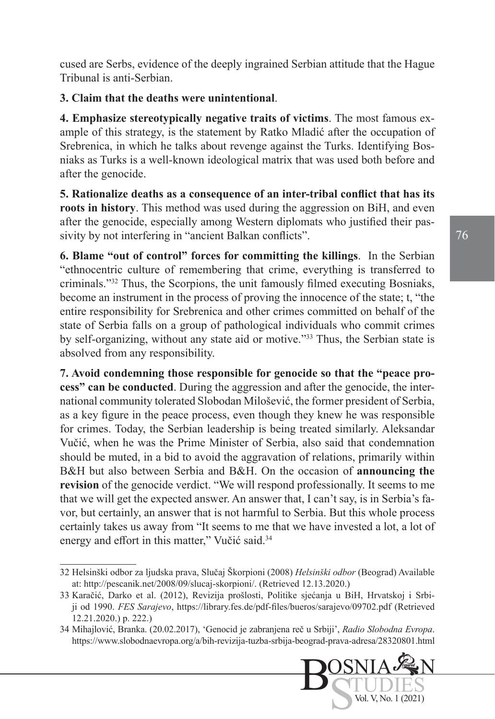cused are Serbs, evidence of the deeply ingrained Serbian attitude that the Hague Tribunal is anti-Serbian.

#### **3. Claim that the deaths were unintentional**.

**4. Emphasize stereotypically negative traits of victims**. The most famous example of this strategy, is the statement by Ratko Mladić after the occupation of Srebrenica, in which he talks about revenge against the Turks. Identifying Bosniaks as Turks is a well-known ideological matrix that was used both before and after the genocide.

**5. Rationalize deaths as a consequence of an inter-tribal conflict that has its roots in history**. This method was used during the aggression on BiH, and even after the genocide, especially among Western diplomats who justified their passivity by not interfering in "ancient Balkan conflicts".

**6. Blame "out of control" forces for committing the killings**. In the Serbian "ethnocentric culture of remembering that crime, everything is transferred to criminals."32 Thus, the Scorpions, the unit famously filmed executing Bosniaks, become an instrument in the process of proving the innocence of the state; t, "the entire responsibility for Srebrenica and other crimes committed on behalf of the state of Serbia falls on a group of pathological individuals who commit crimes by self-organizing, without any state aid or motive."33 Thus, the Serbian state is absolved from any responsibility.

**7. Avoid condemning those responsible for genocide so that the "peace process" can be conducted**. During the aggression and after the genocide, the international community tolerated Slobodan Milošević, the former president of Serbia, as a key figure in the peace process, even though they knew he was responsible for crimes. Today, the Serbian leadership is being treated similarly. Aleksandar Vučić, when he was the Prime Minister of Serbia, also said that condemnation should be muted, in a bid to avoid the aggravation of relations, primarily within B&H but also between Serbia and B&H. On the occasion of **announcing the revision** of the genocide verdict. "We will respond professionally. It seems to me that we will get the expected answer. An answer that, I can't say, is in Serbia's favor, but certainly, an answer that is not harmful to Serbia. But this whole process certainly takes us away from "It seems to me that we have invested a lot, a lot of energy and effort in this matter," Vučić said.<sup>34</sup>

<sup>34</sup> Mihajlović, Branka. (20.02.2017), 'Genocid je zabranjena reč u Srbiji', *Radio Slobodna Evropa*. <https://www.slobodnaevropa.org/a/bih-revizija-tuzba-srbija-beograd-prava-adresa/28320801.html>



<sup>32</sup> Helsinški odbor za ljudska prava, Slučaj Škorpioni (2008) *Helsinški odbor* (Beograd) Available at: http://pescanik.net/2008/09/slucaj-skorpioni/. (Retrieved 12.13.2020.)

<sup>33</sup> Karačić, Darko et al. (2012), Revizija prošlosti, Politike sjećanja u BiH, Hrvatskoj i Srbiji od 1990. *FES Sarajevo*, <https://library.fes.de/pdf-files/bueros/sarajevo/09702.pdf> (Retrieved 12.21.2020.) p. 222.)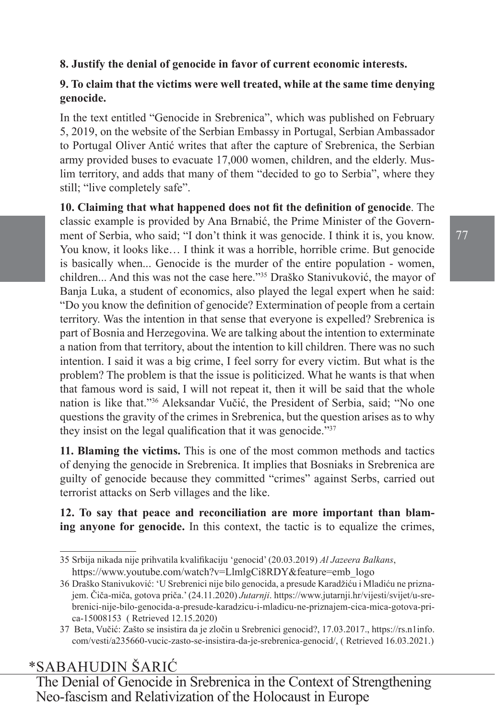#### **8. Justify the denial of genocide in favor of current economic interests.**

#### **9. To claim that the victims were well treated, while at the same time denying genocide.**

In the text entitled "Genocide in Srebrenica", which was published on February 5, 2019, on the website of the Serbian Embassy in Portugal, Serbian Ambassador to Portugal Oliver Antić writes that after the capture of Srebrenica, the Serbian army provided buses to evacuate 17,000 women, children, and the elderly. Muslim territory, and adds that many of them "decided to go to Serbia", where they still; "live completely safe".

**10. Claiming that what happened does not fit the definition of genocide**. The classic example is provided by Ana Brnabić, the Prime Minister of the Government of Serbia, who said; "I don't think it was genocide. I think it is, you know. You know, it looks like… I think it was a horrible, horrible crime. But genocide is basically when... Genocide is the murder of the entire population - women, children... And this was not the case here."35 Draško Stanivuković, the mayor of Banja Luka, a student of economics, also played the legal expert when he said: "Do you know the definition of genocide? Extermination of people from a certain territory. Was the intention in that sense that everyone is expelled? Srebrenica is part of Bosnia and Herzegovina. We are talking about the intention to exterminate a nation from that territory, about the intention to kill children. There was no such intention. I said it was a big crime, I feel sorry for every victim. But what is the problem? The problem is that the issue is politicized. What he wants is that when that famous word is said, I will not repeat it, then it will be said that the whole nation is like that."<sup>36</sup> Aleksandar Vučić, the President of Serbia, said; "No one questions the gravity of the crimes in Srebrenica, but the question arises as to why they insist on the legal qualification that it was genocide."<sup>37</sup>

**11. Blaming the victims.** This is one of the most common methods and tactics of denying the genocide in Srebrenica. It implies that Bosniaks in Srebrenica are guilty of genocide because they committed "crimes" against Serbs, carried out terrorist attacks on Serb villages and the like.

**12. To say that peace and reconciliation are more important than blaming anyone for genocide.** In this context, the tactic is to equalize the crimes,

## \*SABAHUDIN ŠARIĆ

<sup>35</sup> Srbija nikada nije prihvatila kvalifikaciju 'genocid' (20.03.2019) *Al Jazeera Balkans*, [https://www.youtube.com/watch?v=LlmlgCi8RDY&feature=emb\\_logo](https://www.youtube.com/watch?v=LlmlgCi8RDY&feature=emb_logo)

<sup>36</sup> Draško Stanivuković: 'U Srebrenici nije bilo genocida, a presude Karadžiću i Mladiću ne priznajem. Čiča-miča, gotova priča.' (24.11.2020) *Jutarnji*. [https://www.jutarnji.hr/vijesti/svijet/u-sre](https://www.jutarnji.hr/vijesti/svijet/u-srebrenici-nije-bilo-genocida-a-presude-karadzicu-i-mladicu-ne-priznajem-cica-mica-gotova-prica-15008153)[brenici-nije-bilo-genocida-a-presude-karadzicu-i-mladicu-ne-priznajem-cica-mica-gotova-pri](https://www.jutarnji.hr/vijesti/svijet/u-srebrenici-nije-bilo-genocida-a-presude-karadzicu-i-mladicu-ne-priznajem-cica-mica-gotova-prica-15008153)[ca-15008153](https://www.jutarnji.hr/vijesti/svijet/u-srebrenici-nije-bilo-genocida-a-presude-karadzicu-i-mladicu-ne-priznajem-cica-mica-gotova-prica-15008153) ( Retrieved 12.15.2020)

<sup>37</sup> Beta, Vučić: Zašto se insistira da je zločin u Srebrenici genocid?, 17.03.2017., [https://rs.n1info.](https://rs.n1info.com/vesti/a235660-vucic-zasto-se-insistira-da-je-srebrenica-genocid/) [com/vesti/a235660-vucic-zasto-se-insistira-da-je-srebrenica-genocid/](https://rs.n1info.com/vesti/a235660-vucic-zasto-se-insistira-da-je-srebrenica-genocid/), ( Retrieved 16.03.2021.)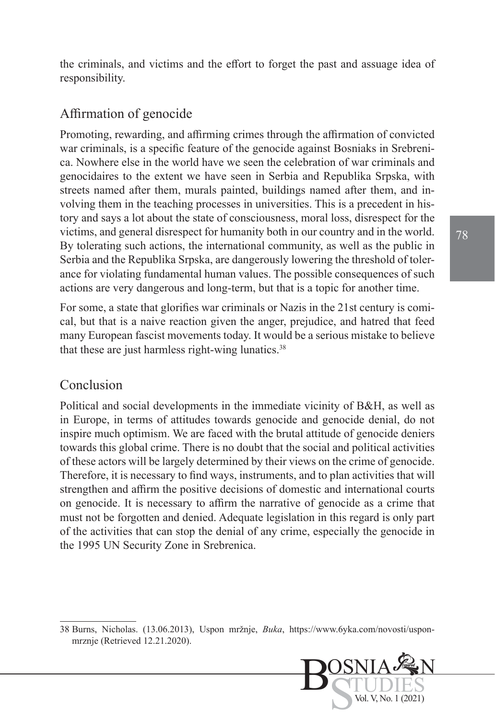the criminals, and victims and the effort to forget the past and assuage idea of responsibility.

### Affirmation of genocide

Promoting, rewarding, and affirming crimes through the affirmation of convicted war criminals, is a specific feature of the genocide against Bosniaks in Srebrenica. Nowhere else in the world have we seen the celebration of war criminals and genocidaires to the extent we have seen in Serbia and Republika Srpska, with streets named after them, murals painted, buildings named after them, and involving them in the teaching processes in universities. This is a precedent in history and says a lot about the state of consciousness, moral loss, disrespect for the victims, and general disrespect for humanity both in our country and in the world. By tolerating such actions, the international community, as well as the public in Serbia and the Republika Srpska, are dangerously lowering the threshold of tolerance for violating fundamental human values. The possible consequences of such actions are very dangerous and long-term, but that is a topic for another time.

For some, a state that glorifies war criminals or Nazis in the 21st century is comical, but that is a naive reaction given the anger, prejudice, and hatred that feed many European fascist movements today. It would be a serious mistake to believe that these are just harmless right-wing lunatics. $38$ 

#### Conclusion

Political and social developments in the immediate vicinity of B&H, as well as in Europe, in terms of attitudes towards genocide and genocide denial, do not inspire much optimism. We are faced with the brutal attitude of genocide deniers towards this global crime. There is no doubt that the social and political activities of these actors will be largely determined by their views on the crime of genocide. Therefore, it is necessary to find ways, instruments, and to plan activities that will strengthen and affirm the positive decisions of domestic and international courts on genocide. It is necessary to affirm the narrative of genocide as a crime that must not be forgotten and denied. Adequate legislation in this regard is only part of the activities that can stop the denial of any crime, especially the genocide in the 1995 UN Security Zone in Srebrenica.

<sup>38</sup> Burns, Nicholas. (13.06.2013), Uspon mržnje, *Buka*, [https://www.6yka.com/novosti/uspon](https://www.6yka.com/novosti/uspon-mrznje)[mrznje](https://www.6yka.com/novosti/uspon-mrznje) (Retrieved 12.21.2020).

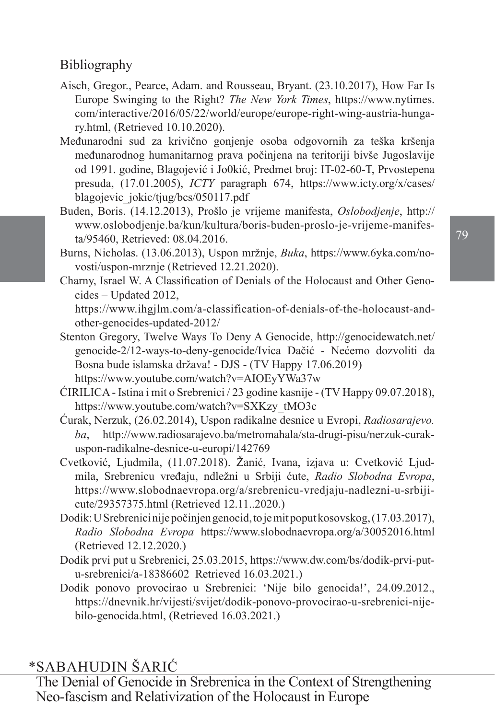# Bibliography

- [Aisch](https://www.nytimes.com/by/gregor-aisch), Gregor., [Pearce,](https://www.nytimes.com/by/adam-pearce) Adam. and Rousseau, Bryant. (23.10.2017), How Far Is Europe Swinging to the Right? *The New York Times*, https://www.nytimes. com/interactive/2016/05/22/world/europe/europe-right-wing-austria-hungary.html, (Retrieved 10.10.2020).
- Međunarodni sud za krivično gonjenje osoba odgovornih za teška kršenja međunarodnog humanitarnog prava počinjena na teritoriji bivše Jugoslavije od 1991. godine, Blagojević i Jo0kić, Predmet broj: IT-02-60-T, Prvostepena presuda, (17.01.2005), *ICTY* paragraph 674, [https://www.icty.org/x/cases/](https://www.icty.org/x/cases/blagojevic_jokic/tjug/bcs/050117.pdf) [blagojevic\\_jokic/tjug/bcs/050117.pdf](https://www.icty.org/x/cases/blagojevic_jokic/tjug/bcs/050117.pdf)
- Buden, Boris. (14.12.2013), Prošlo je vrijeme manifesta, *Oslobodjenje*, [http://](http://www.oslobodjenje.ba/kun/kultura/boris-buden-proslo-je-vrijeme-manifesta/95460) [www.oslobodjenje.ba/kun/kultura/boris-buden-proslo-je-vrijeme-manifes](http://www.oslobodjenje.ba/kun/kultura/boris-buden-proslo-je-vrijeme-manifesta/95460)[ta/95460](http://www.oslobodjenje.ba/kun/kultura/boris-buden-proslo-je-vrijeme-manifesta/95460), Retrieved: 08.04.2016.
- Burns, Nicholas. (13.06.2013), Uspon mržnje, *Buka*, [https://www.6yka.com/no](https://www.6yka.com/novosti/uspon-mrznje)[vosti/uspon-mrznje](https://www.6yka.com/novosti/uspon-mrznje) (Retrieved 12.21.2020).
- Charny, Israel W. A Classification of Denials of the Holocaust and Other Genocides – Updated 2012, [https://www.ihgjlm.com/a-classification-of-denials-of-the-holocaust-and-](https://www.ihgjlm.com/a-classification-of-denials-of-the-holocaust-and-other-genocides-updated-2012/)

[other-genocides-updated-2012/](https://www.ihgjlm.com/a-classification-of-denials-of-the-holocaust-and-other-genocides-updated-2012/)

- Stenton Gregory, Twelve Ways To Deny A Genocide, [http://genocidewatch.net/](http://genocidewatch.net/genocide-2/12-ways-to-deny-genocide/) [genocide-2/12-ways-to-deny-genocide/](http://genocidewatch.net/genocide-2/12-ways-to-deny-genocide/)Ivica Dačić - Nećemo dozvoliti da Bosna bude islamska država! - DJS - (TV Happy 17.06.2019) <https://www.youtube.com/watch?v=AIOEyYWa37w>
- ĆIRILICA Istina i mit o Srebrenici / 23 godine kasnije (TV Happy 09.07.2018), [https://www.youtube.com/watch?v=SXKzy\\_tMO3c](https://www.youtube.com/watch?v=SXKzy_tMO3c)
- Ćurak, Nerzuk, (26.02.2014), Uspon radikalne desnice u Evropi, *Radiosarajevo. ba*, [http://www.radiosarajevo.ba/metromahala/sta-drugi-pisu/nerzuk-curak](http://www.radiosarajevo.ba/metromahala/sta-drugi-pisu/nerzuk-curak-uspon-radikalne-desnice-u-europi/142769)[uspon-radikalne-desnice-u-europi/142769](http://www.radiosarajevo.ba/metromahala/sta-drugi-pisu/nerzuk-curak-uspon-radikalne-desnice-u-europi/142769)
- Cvetković, Ljudmila, (11.07.2018). Žanić, Ivana, izjava u: Cvetković Ljudmila, Srebrenicu vređaju, ndležni u Srbiji ćute, *Radio Slobodna Evropa*, [https://www.slobodnaevropa.org/a/srebrenicu-vredjaju-nadlezni-u-srbiji](https://www.slobodnaevropa.org/a/srebrenicu-vredjaju-nadlezni-u-srbiji-cute/29357375.html)[cute/29357375.html](https://www.slobodnaevropa.org/a/srebrenicu-vredjaju-nadlezni-u-srbiji-cute/29357375.html) (Retrieved 12.11..2020.)
- Dodik: U Srebrenici nije počinjen genocid, to je mit poput kosovskog, (17.03.2017), *Radio Slobodna Evropa* <https://www.slobodnaevropa.org/a/30052016.html> (Retrieved 12.12.2020.)
- Dodik prvi put u Srebrenici, 25.03.2015, [https://www.dw.com/bs/dodik-prvi-put](https://www.dw.com/bs/dodik-prvi-put-u-srebrenici/a-18386602)[u-srebrenici/a-18386602](https://www.dw.com/bs/dodik-prvi-put-u-srebrenici/a-18386602) Retrieved 16.03.2021.)
- Dodik ponovo provocirao u Srebrenici: 'Nije bilo genocida!', 24.09.2012., [https://dnevnik.hr/vijesti/svijet/dodik-ponovo-provocirao-u-srebrenici-nije](https://dnevnik.hr/vijesti/svijet/dodik-ponovo-provocirao-u-srebrenici-nije-bilo-genocida.html)[bilo-genocida.html](https://dnevnik.hr/vijesti/svijet/dodik-ponovo-provocirao-u-srebrenici-nije-bilo-genocida.html), (Retrieved 16.03.2021.)

## \*SABAHUDIN ŠARIĆ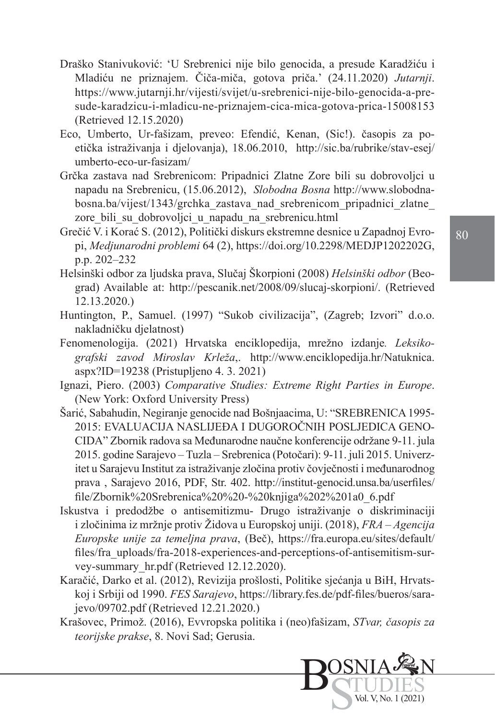- Draško Stanivuković: 'U Srebrenici nije bilo genocida, a presude Karadžiću i Mladiću ne priznajem. Čiča-miča, gotova priča.' (24.11.2020) *Jutarnji*. [https://www.jutarnji.hr/vijesti/svijet/u-srebrenici-nije-bilo-genocida-a-pre](https://www.jutarnji.hr/vijesti/svijet/u-srebrenici-nije-bilo-genocida-a-presude-karadzicu-i-mladicu-ne-priznajem-cica-mica-gotova-prica-15008153)[sude-karadzicu-i-mladicu-ne-priznajem-cica-mica-gotova-prica-15008153](https://www.jutarnji.hr/vijesti/svijet/u-srebrenici-nije-bilo-genocida-a-presude-karadzicu-i-mladicu-ne-priznajem-cica-mica-gotova-prica-15008153) (Retrieved 12.15.2020)
- Eco, Umberto, [Ur-fašizam,](https://sic.ba/stav/umberto-eco-ur-fasizam/) preveo: Efendić, Kenan, (Sic!). časopis za poetička istraživanja i djelovanja), 18.06.2010, [http://sic.ba/rubrike/stav-esej/](http://sic.ba/rubrike/stav-esej/umberto-eco-ur-fasizam/) [umberto-eco-ur-fasizam/](http://sic.ba/rubrike/stav-esej/umberto-eco-ur-fasizam/)
- Grčka zastava nad Srebrenicom: Pripadnici Zlatne Zore bili su dobrovoljci u napadu na Srebrenicu, (15.06.2012), *Slobodna Bosna* [http://www.slobodna](http://www.slobodna-bosna.ba/vijest/1343/grchka_zastava_nad_srebrenicom_pripadnici_zlatne_zore_bili_su_dobrovoljci_u_napadu_na_srebrenicu.html)[bosna.ba/vijest/1343/grchka\\_zastava\\_nad\\_srebrenicom\\_pripadnici\\_zlatne\\_](http://www.slobodna-bosna.ba/vijest/1343/grchka_zastava_nad_srebrenicom_pripadnici_zlatne_zore_bili_su_dobrovoljci_u_napadu_na_srebrenicu.html) zore bili su dobrovoljci u napadu na srebrenicu.html
- Grečić V. i Korać S. (2012), Politički diskurs ekstremne desnice u Zapadnoj Evropi, *Medjunarodni problemi* 64 (2), https://doi.org/10.2298/MEDJP1202202G, p.p. 202–232
- Helsinški odbor za ljudska prava, Slučaj Škorpioni (2008) *Helsinški odbor* (Beograd) Available at: http://pescanik.net/2008/09/slucaj-skorpioni/. (Retrieved 12.13.2020.)
- Huntington, P., Samuel. (1997) "Sukob civilizacija", (Zagreb; Izvori" d.o.o. nakladničku djelatnost)
- Fenomenologija. (2021) Hrvatska enciklopedija, mrežno izdanje*. Leksikografski zavod Miroslav Krleža*,. [http://www.enciklopedija.hr/Natuknica.](http://www.enciklopedija.hr/Natuknica.aspx?ID=19238) [aspx?ID=19238](http://www.enciklopedija.hr/Natuknica.aspx?ID=19238) (Pristupljeno 4. 3. 2021)
- Ignazi, Piero. (2003) *Comparative Studies: Extreme Right Parties in Europe*. (New York: Oxford University Press)
- Šarić, Sabahudin, Negiranje genocide nad Bošnjaacima, U: "SREBRENICA 1995- 2015: EVALUACIJA NASLIJEĐA I DUGOROČNIH POSLJEDICA GENO-CIDA" Zbornik radova sa Međunarodne naučne konferencije održane 9-11. jula 2015. godine Sarajevo – Tuzla – Srebrenica (Potočari): 9-11. juli 2015. Univerzitet u Sarajevu Institut za istraživanje zločina protiv čovječnosti i međunarodnog prava , Sarajevo 2016, PDF, Str. 402. http://institut-genocid.unsa.ba/userfiles/ file/Zbornik%20Srebrenica%20%20-%20knjiga%202%201a0\_6.pdf
- Iskustva i predodžbe o antisemitizmu- Drugo istraživanje o diskriminaciji i zločinima iz mržnje protiv Židova u Europskoj uniji. (2018), *FRA – Agencija Europske unije za temeljna prava*, (Beč), [https://fra.europa.eu/sites/default/](https://fra.europa.eu/sites/default/files/fra_uploads/fra-2018-experiences-and-perceptions-of-antisemitism-survey-summary_hr.pdf) [files/fra\\_uploads/fra-2018-experiences-and-perceptions-of-antisemitism-sur](https://fra.europa.eu/sites/default/files/fra_uploads/fra-2018-experiences-and-perceptions-of-antisemitism-survey-summary_hr.pdf)[vey-summary\\_hr.pdf](https://fra.europa.eu/sites/default/files/fra_uploads/fra-2018-experiences-and-perceptions-of-antisemitism-survey-summary_hr.pdf) (Retrieved 12.12.2020).
- Karačić, Darko et al. (2012), Revizija prošlosti, Politike sjećanja u BiH, Hrvatskoj i Srbiji od 1990. *FES Sarajevo*, [https://library.fes.de/pdf-files/bueros/sara](https://library.fes.de/pdf-files/bueros/sarajevo/09702.pdf)[jevo/09702.pdf](https://library.fes.de/pdf-files/bueros/sarajevo/09702.pdf) (Retrieved 12.21.2020.)
- Krašovec, Primož. (2016), Evvropska politika i (neo)fašizam, *STvar, časopis za teorijske prakse*, 8. Novi Sad; Gerusia.

Bos<sub>S</sub>

OSNIA

TUDIES Vol. V, No. 1 (2021)

N